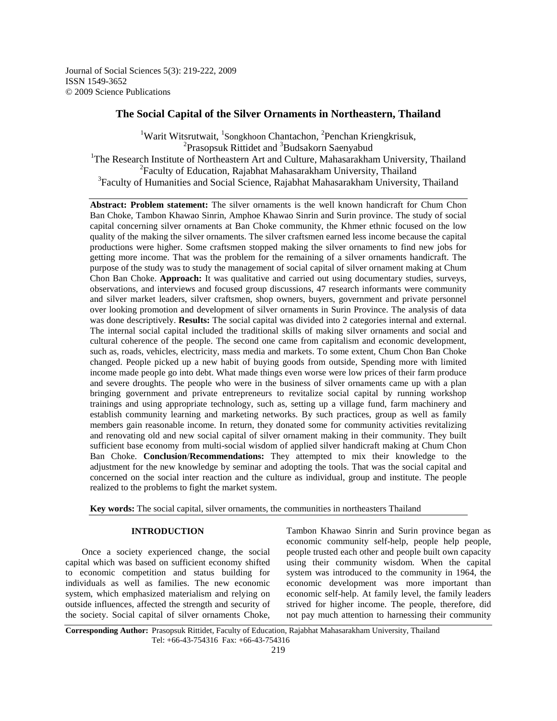Journal of Social Sciences 5(3): 219-222, 2009 ISSN 1549-3652 © 2009 Science Publications

# **The Social Capital of the Silver Ornaments in Northeastern, Thailand**

<sup>1</sup>Warit Witsrutwait, <sup>1</sup>Songkhoon Chantachon, <sup>2</sup>Penchan Kriengkrisuk, <sup>2</sup> Prasopsuk Rittidet and <sup>3</sup> Budsakorn Saenyabud <sup>1</sup>The Research Institute of Northeastern Art and Culture, Mahasarakham University, Thailand <sup>2</sup> Faculty of Education, Rajabhat Mahasarakham University, Thailand <sup>3</sup>Faculty of Humanities and Social Science, Rajabhat Mahasarakham University, Thailand

**Abstract: Problem statement:** The silver ornaments is the well known handicraft for Chum Chon Ban Choke, Tambon Khawao Sinrin, Amphoe Khawao Sinrin and Surin province. The study of social capital concerning silver ornaments at Ban Choke community, the Khmer ethnic focused on the low quality of the making the silver ornaments. The silver craftsmen earned less income because the capital productions were higher. Some craftsmen stopped making the silver ornaments to find new jobs for getting more income. That was the problem for the remaining of a silver ornaments handicraft. The purpose of the study was to study the management of social capital of silver ornament making at Chum Chon Ban Choke. **Approach:** It was qualitative and carried out using documentary studies, surveys, observations, and interviews and focused group discussions, 47 research informants were community and silver market leaders, silver craftsmen, shop owners, buyers, government and private personnel over looking promotion and development of silver ornaments in Surin Province. The analysis of data was done descriptively. **Results:** The social capital was divided into 2 categories internal and external. The internal social capital included the traditional skills of making silver ornaments and social and cultural coherence of the people. The second one came from capitalism and economic development, such as, roads, vehicles, electricity, mass media and markets. To some extent, Chum Chon Ban Choke changed. People picked up a new habit of buying goods from outside, Spending more with limited income made people go into debt. What made things even worse were low prices of their farm produce and severe droughts. The people who were in the business of silver ornaments came up with a plan bringing government and private entrepreneurs to revitalize social capital by running workshop trainings and using appropriate technology, such as, setting up a village fund, farm machinery and establish community learning and marketing networks. By such practices, group as well as family members gain reasonable income. In return, they donated some for community activities revitalizing and renovating old and new social capital of silver ornament making in their community. They built sufficient base economy from multi-social wisdom of applied silver handicraft making at Chum Chon Ban Choke. **Conclusion**/**Recommendations:** They attempted to mix their knowledge to the adjustment for the new knowledge by seminar and adopting the tools. That was the social capital and concerned on the social inter reaction and the culture as individual, group and institute. The people realized to the problems to fight the market system.

**Key words:** The social capital, silver ornaments, the communities in northeasters Thailand

## **INTRODUCTION**

 Once a society experienced change, the social capital which was based on sufficient economy shifted to economic competition and status building for individuals as well as families. The new economic system, which emphasized materialism and relying on outside influences, affected the strength and security of the society. Social capital of silver ornaments Choke,

Tambon Khawao Sinrin and Surin province began as economic community self-help, people help people, people trusted each other and people built own capacity using their community wisdom. When the capital system was introduced to the community in 1964, the economic development was more important than economic self-help. At family level, the family leaders strived for higher income. The people, therefore, did not pay much attention to harnessing their community

**Corresponding Author:** Prasopsuk Rittidet, Faculty of Education, Rajabhat Mahasarakham University, Thailand Tel: +66-43-754316 Fax: +66-43-754316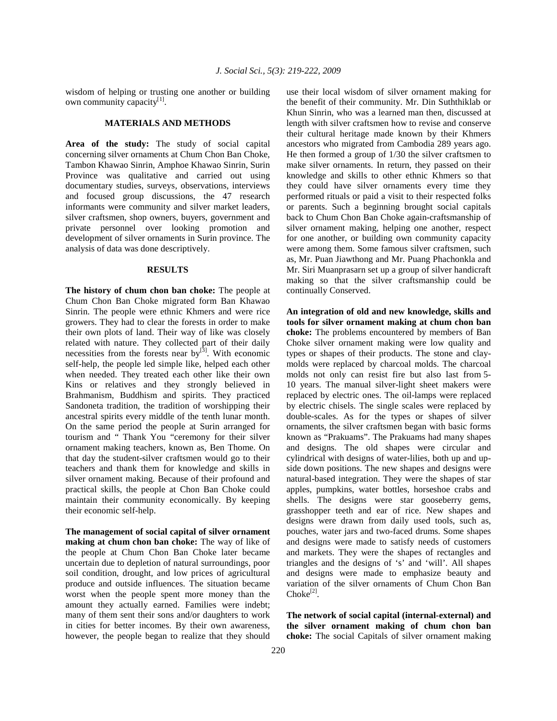wisdom of helping or trusting one another or building own community capacity<sup>[1]</sup>.

#### **MATERIALS AND METHODS**

**Area of the study:** The study of social capital concerning silver ornaments at Chum Chon Ban Choke, Tambon Khawao Sinrin, Amphoe Khawao Sinrin, Surin Province was qualitative and carried out using documentary studies, surveys, observations, interviews and focused group discussions, the 47 research informants were community and silver market leaders, silver craftsmen, shop owners, buyers, government and private personnel over looking promotion and development of silver ornaments in Surin province. The analysis of data was done descriptively.

## **RESULTS**

**The history of chum chon ban choke:** The people at Chum Chon Ban Choke migrated form Ban Khawao Sinrin. The people were ethnic Khmers and were rice growers. They had to clear the forests in order to make their own plots of land. Their way of like was closely related with nature. They collected part of their daily necessities from the forests near  $by^{3}$ . With economic self-help, the people led simple like, helped each other when needed. They treated each other like their own Kins or relatives and they strongly believed in Brahmanism, Buddhism and spirits. They practiced Sandoneta tradition, the tradition of worshipping their ancestral spirits every middle of the tenth lunar month. On the same period the people at Surin arranged for tourism and " Thank You "ceremony for their silver ornament making teachers, known as, Ben Thome. On that day the student-silver craftsmen would go to their teachers and thank them for knowledge and skills in silver ornament making. Because of their profound and practical skills, the people at Chon Ban Choke could maintain their community economically. By keeping their economic self-help.

**The management of social capital of silver ornament making at chum chon ban choke:** The way of like of the people at Chum Chon Ban Choke later became uncertain due to depletion of natural surroundings, poor soil condition, drought, and low prices of agricultural produce and outside influences. The situation became worst when the people spent more money than the amount they actually earned. Families were indebt; many of them sent their sons and/or daughters to work in cities for better incomes. By their own awareness, however, the people began to realize that they should use their local wisdom of silver ornament making for the benefit of their community. Mr. Din Suththiklab or Khun Sinrin, who was a learned man then, discussed at length with silver craftsmen how to revise and conserve their cultural heritage made known by their Khmers ancestors who migrated from Cambodia 289 years ago. He then formed a group of 1/30 the silver craftsmen to make silver ornaments. In return, they passed on their knowledge and skills to other ethnic Khmers so that they could have silver ornaments every time they performed rituals or paid a visit to their respected folks or parents. Such a beginning brought social capitals back to Chum Chon Ban Choke again-craftsmanship of silver ornament making, helping one another, respect for one another, or building own community capacity were among them. Some famous silver craftsmen, such as, Mr. Puan Jiawthong and Mr. Puang Phachonkla and Mr. Siri Muanprasarn set up a group of silver handicraft making so that the silver craftsmanship could be continually Conserved.

**An integration of old and new knowledge, skills and tools for silver ornament making at chum chon ban choke:** The problems encountered by members of Ban Choke silver ornament making were low quality and types or shapes of their products. The stone and claymolds were replaced by charcoal molds. The charcoal molds not only can resist fire but also last from 5- 10 years. The manual silver-light sheet makers were replaced by electric ones. The oil-lamps were replaced by electric chisels. The single scales were replaced by double-scales. As for the types or shapes of silver ornaments, the silver craftsmen began with basic forms known as "Prakuams". The Prakuams had many shapes and designs. The old shapes were circular and cylindrical with designs of water-lilies, both up and upside down positions. The new shapes and designs were natural-based integration. They were the shapes of star apples, pumpkins, water bottles, horseshoe crabs and shells. The designs were star gooseberry gems, grasshopper teeth and ear of rice. New shapes and designs were drawn from daily used tools, such as, pouches, water jars and two-faced drums. Some shapes and designs were made to satisfy needs of customers and markets. They were the shapes of rectangles and triangles and the designs of 's' and 'will'. All shapes and designs were made to emphasize beauty and variation of the silver ornaments of Chum Chon Ban  $Choke^{[2]}$ .

**The network of social capital (internal-external) and the silver ornament making of chum chon ban choke:** The social Capitals of silver ornament making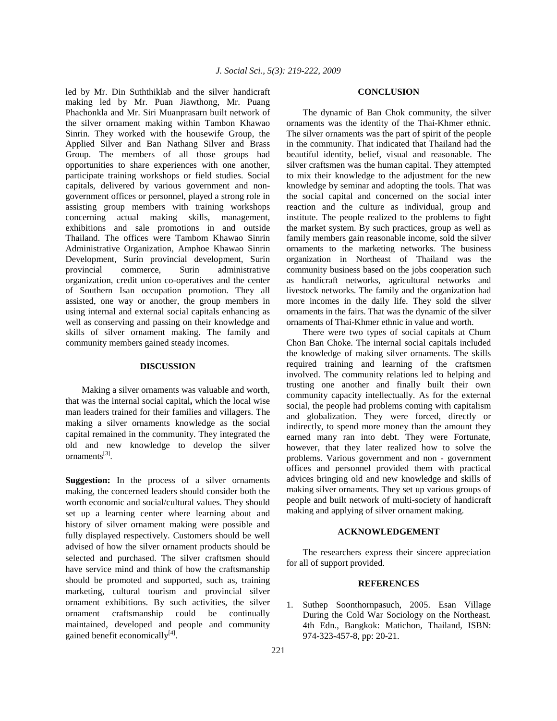led by Mr. Din Suththiklab and the silver handicraft making led by Mr. Puan Jiawthong, Mr. Puang Phachonkla and Mr. Siri Muanprasarn built network of the silver ornament making within Tambon Khawao Sinrin. They worked with the housewife Group, the Applied Silver and Ban Nathang Silver and Brass Group. The members of all those groups had opportunities to share experiences with one another, participate training workshops or field studies. Social capitals, delivered by various government and nongovernment offices or personnel, played a strong role in assisting group members with training workshops concerning actual making skills, management, exhibitions and sale promotions in and outside Thailand. The offices were Tambom Khawao Sinrin Administrative Organization, Amphoe Khawao Sinrin Development, Surin provincial development, Surin provincial commerce, Surin administrative organization, credit union co-operatives and the center of Southern Isan occupation promotion. They all assisted, one way or another, the group members in using internal and external social capitals enhancing as well as conserving and passing on their knowledge and skills of silver ornament making. The family and community members gained steady incomes.

## **DISCUSSION**

 Making a silver ornaments was valuable and worth, that was the internal social capital**,** which the local wise man leaders trained for their families and villagers. The making a silver ornaments knowledge as the social capital remained in the community. They integrated the old and new knowledge to develop the silver ornaments<sup>[3]</sup>.

**Suggestion:** In the process of a silver ornaments making, the concerned leaders should consider both the worth economic and social/cultural values. They should set up a learning center where learning about and history of silver ornament making were possible and fully displayed respectively. Customers should be well advised of how the silver ornament products should be selected and purchased. The silver craftsmen should have service mind and think of how the craftsmanship should be promoted and supported, such as, training marketing, cultural tourism and provincial silver ornament exhibitions. By such activities, the silver ornament craftsmanship could be continually maintained, developed and people and community gained benefit economically<sup>[4]</sup>.

#### **CONCLUSION**

 The dynamic of Ban Chok community, the silver ornaments was the identity of the Thai-Khmer ethnic. The silver ornaments was the part of spirit of the people in the community. That indicated that Thailand had the beautiful identity, belief, visual and reasonable. The silver craftsmen was the human capital. They attempted to mix their knowledge to the adjustment for the new knowledge by seminar and adopting the tools. That was the social capital and concerned on the social inter reaction and the culture as individual, group and institute. The people realized to the problems to fight the market system. By such practices, group as well as family members gain reasonable income, sold the silver ornaments to the marketing networks. The business organization in Northeast of Thailand was the community business based on the jobs cooperation such as handicraft networks, agricultural networks and livestock networks. The family and the organization had more incomes in the daily life. They sold the silver ornaments in the fairs. That was the dynamic of the silver ornaments of Thai-Khmer ethnic in value and worth.

 There were two types of social capitals at Chum Chon Ban Choke. The internal social capitals included the knowledge of making silver ornaments. The skills required training and learning of the craftsmen involved. The community relations led to helping and trusting one another and finally built their own community capacity intellectually. As for the external social, the people had problems coming with capitalism and globalization. They were forced, directly or indirectly, to spend more money than the amount they earned many ran into debt. They were Fortunate, however, that they later realized how to solve the problems. Various government and non - government offices and personnel provided them with practical advices bringing old and new knowledge and skills of making silver ornaments. They set up various groups of people and built network of multi-society of handicraft making and applying of silver ornament making.

### **ACKNOWLEDGEMENT**

 The researchers express their sincere appreciation for all of support provided.

#### **REFERENCES**

1. Suthep Soonthornpasuch, 2005. Esan Village During the Cold War Sociology on the Northeast. 4th Edn., Bangkok: Matichon, Thailand, ISBN: 974-323-457-8, pp: 20-21.